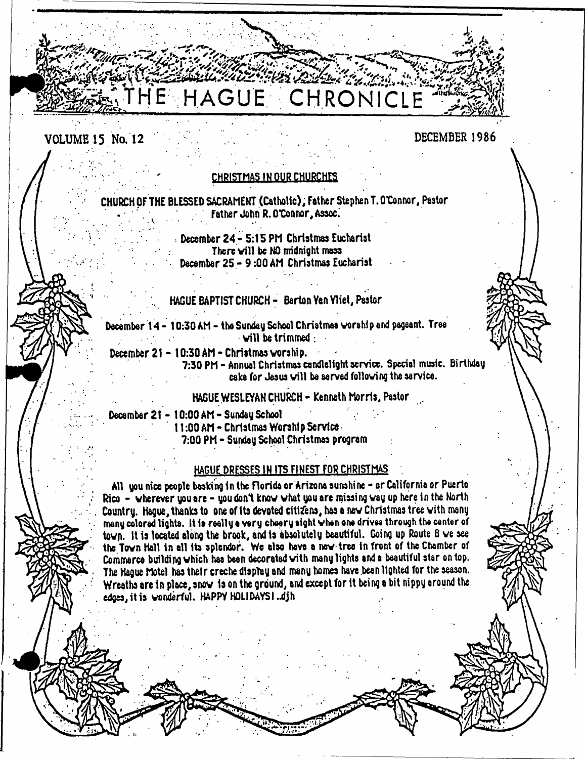# HAGUE CHRONICLE

# **VOLUME 15 No. 12 DECEMBER 1986**

### CHRISTMAS IN OUR CHURCHES

CHURCH OF THE BLESSED SACRAMENT (Catholic), Father Stephen T. O'Connor, Pastor **Father John R. O'Connor, A»oc.**

> December 24 - 5:15 PM Christmas Eucharist There will be NO midnight mass December 25 - 9:00 AM Christmas Eucharist

## HAGUE BAPTIST CHURCH- Barton Yen Yliet, Pastor

December 14 - 10:30 AM - the Sunday School Christmas worship and pageant. Tree  $\cdot$  will be trimmed:

December 21-10:30 AM - Christmas worship.

7:30 PM - Annual Christmas candlelight service. Special music. Birthday cake for Jesus will be served following the service.

HAGUE WESLEYAN CHURCH-Kenneth Morris, Pastor

December 21 - 10:00 AM - Sunday School 11:00 AM - Christmas Worship Service 7:00 PM - Sunday School Christmas program

#### HAGUE DRESSES IN ITS FINEST FOR CHRISTMAS

All you nice people basking in the Florida or Arizona sunshine-or Californio or Puerto Rico - wherever you are - you don't know what you are missing way up here in the North Country. Hague, thanks to one of its devoted citizens, has a new Christmas tree with many many colored lights. It 1» really a very cheery eight when one drives through the center of town. It Is located along the brook, and is absolutely beautiful. Going up Route 8 we see the Town Hall in all its splendor. We also have a new tree in front of the Chamber of Commerce building which has bean decorated with many lights and a beautiful star on top. The Hague Motel has their creche display and many homes have been lighted for the season. Wreaths are in place, snow Is on the ground, and except for it being a bit nippy around the edges, it is wonderful. HAPPY HOLIDAYSI.djh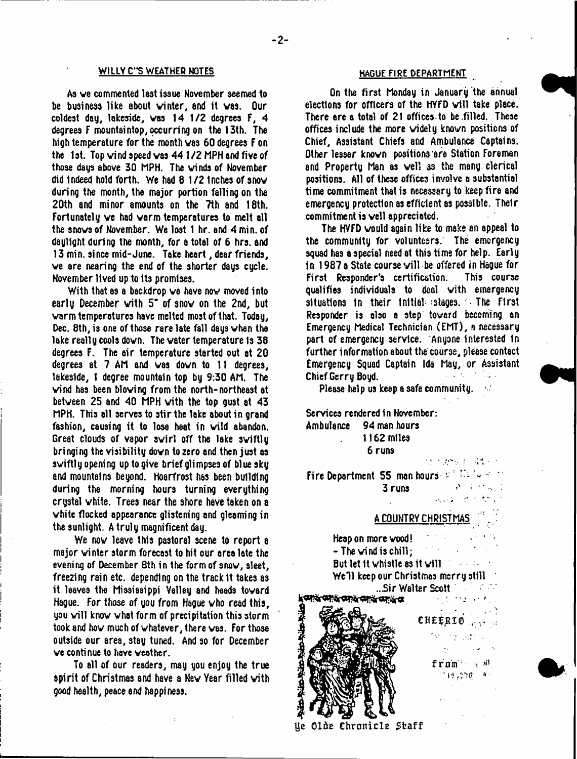#### **WILLY C"S WEATHER NOTES HAGUE FIRE DEPARTMENT**

As ve commented lest issue November seemed to be business like about winter, and it was. Our coldest dag, lakeside, was 14 1/2 degrees F, 4 degrees F mountaintop, occurring on the 13th. The high temperature for the month was 60 degrees F on the 1st. Top wind speed was 44 1/2 MPH and five of those dags above 30 MPH. The winds of November did Indeed hold forth. We had 8 1 /2 Inches of snow during the month, the major portion falling on the 20th and minor amounts on the 7th and 18th. Fortunately we had warm temperatures to melt all the snows of November. We lost 1 hr. and 4 min. of daglight during the month, for a total of 6 hrs. and 13 min. since mid-June. Take heart, dear friends, we are nearing the end of the shorter dags cycle. November lived up to its promises.

With that as a backdrop we have now moved into early December with 5° of snow on the 2nd, but warm temperatures have melted most of that. Today, Dec. 8th, is one of those rare late fall days when the lake really cools down. The water temperature Is 38 degrees F. The air temperature started out at 20 degrees at 7 AM and was down to 11 degrees, lakeside, 1 degree mountain top by 9:30 AM. The wind has been blowing from the north-northeast at between 25 and 40 MPH with the top gust at 43 MPH. This all serves to stir the loke about in grand fashion, causing it to lose heat in wild abandon. Great clouds of vapor swirl off the lake swiftly bringing the visibility down to zero and then just as swiftly opening up to give brief glimpses of blue sky and mountains beyond. Hoarfrost has been building during the morning hours turning everything crystal white. Trees near the shore have taken on a white flocked appearance glistening and gleaming in the sunlight. A truly magnificent day.

We now leave this pastoral scene to report a major winter storm forecast to hit our area late the evening of December 8th in the form of snow, sleet, freezing rain etc. depending on the track 1t takes as it leaves the Mississippi Valley and heads toward Hague. For those of you from Hague who read this, you will know what form of precipitation this storm took and how much of whatever, there was. For those outside our area, stay tuned. And so for December we continue to have weather.

To all of our readers, may you enjoy the true spirit of Christmas and have a New Year filled with good health, peace and happiness.

On the first Monday in January the annual elections for officers of the HYFD will take place. There are a total of 21 offices to be .filled. These offices include the more widely known positions of Chief, Assistant Chiefs and Ambulance Captains. Other lesser known positions are Station Foreman and Property Man as well as the many clerical positions. All of these offices involve a substantial time commitment that is necessary to keep fire and emergency protection as efficient as possible. Their commitment is well appreciated.

The HVFD would again like to make an appeal to the community for volunteers. The emergency squad has a special need at this time for help. Early in 1987 a State course v ill be offered in Hague for First Responder's certification. qualifies individuals to deal with emergency situations In their Initial-stages. The First Responder is also a step toward becoming an Emergency Medical Technician (EMT), a necessary part of emergency service. Anyone interested in further information about the course, please contact Emergency Squad Captain Ida May, or Assistant Chief Gerry Boyd. -

Please help us keep a safe community.

Services rendered in November: Ambulance 94 man hours 1162 miles 6 runs  $\overline{\partial}$  v  $\overline{\partial}$  and  $\overline{\partial}$   $\overline{\partial}$  . The set of  $\overline{\partial}$ 

Fire Department 55 man hours  $v = \frac{V_{\text{max}}}{V_{\text{max}}}$  $3$  runs  $\frac{y}{2}$  and  $\frac{y}{2}$ 

## A COUNTRY CHRISTMAS '

Heap on more wood! ' - The wind is chill; But let it whistle as it will **Service** State Well keep our Christmas merry still

...Sir Walter Scott CHEERIO <sub>1000</sub>

in an ama  $\sim 10^{-10}$  M fram M 134,000 - 93

Ue Olde Chronicle Staff

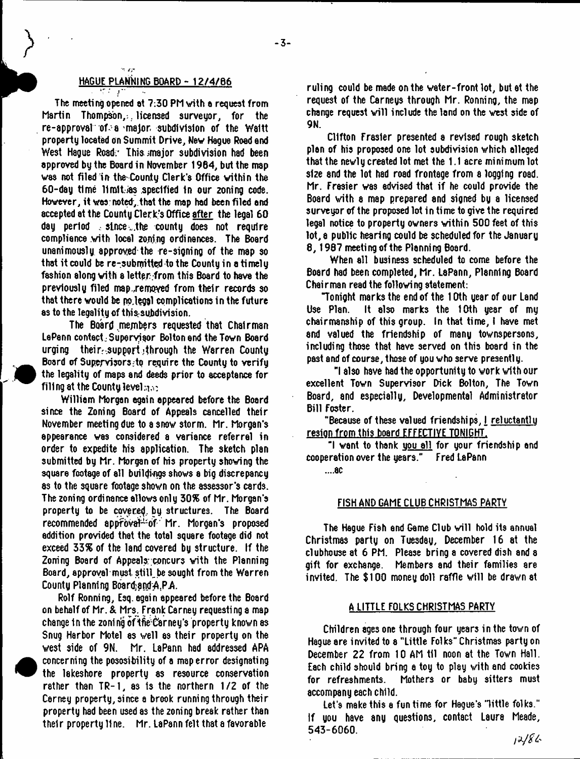#### HAGUE PLANKING BOARD - 12/4/B6

 $4$   $\pm$   $\pm$   $\pm$ 

in ze

The meeting opened at 7:30 PM with e request from Martin Thompson,. licensed surveyor, for the re-approval of-a major subdivision of the Waitt property located on Summit Drive, New Hague Roed end West Hague Road: This major subdivision had been approved by the Board in November 1964, but the map was not filed in the'County Clerk's Office within the 60-day time llmltias specified In our zoning code. However, it was noted, that the map had been filed and accepted at the County Clerk's Office after the legal 60 day period , since , the county does not require compliance with local zoning ordinances. The Board unanimously approved the re-signing of the map so that it could be re-submitted to the County in a timely fashion along with a lettpr.from this Board to have the previously filed map.,removed from their records so that there would be po.leggl complications in the future as to the legality of this subdivision.

The Board members requested that Chairman LaPann contact Supervisor Bolton and the Town Board urging their:-support.;through the Warren County Board of Supervisors;to require the County to verify the legality of maps and deeds prior to acceptance for filling at the County level: $\eta_{\rm obs}$ 

William Morgan again appeared before the Board since the Zoning Board of Appeals cancelled their November meeting due to a snow storm. Mr. Morgan's appearance was considered a variance referral in order to expedite his application. The sketch plan submitted by Mr. Morgan of his property showing the square footage of all buildings shows 8 big discrepancy as to the square footage shown on the assessor's cards. The zoning ordinance allows only 30% of Mr. Morgan's property to be covered by structures. The Board recommended appfovat<sup>tor</sup> Mr. Morgan's proposed addition provided that the total square footage did not exceed 33% of the land covered by structure. If the Zoning Board of Appeals; concurs with the Planning Board, approval must. stiU.be sought from the Warren County Planning Board and A.P.A.

Rolf Ronning, Esq. again appeared before the Board on behalf of Mr. *k* Mrs. Frank Carney requesting e map change in the zoning of the Carney's property known as Snug Harbor Motel as well as their property on the west side of 9N. Mr. LaPann had addressed APA concerning the pososibility of a map error designating the lakeshore property as resource conservation rather than TR-1, as is the northern 1/2 of the Cerney property, since a brook running through their property had been used as the zoning break rather than their property fine. Mr. LaPann felt that a favorable

ruling could be made on the water-front lot, but at the request of the Carneys through Mr. Ronning, the map change request will include the land on the west side of 9N.

Clifton Frasier presented a revised rough sketch plan of his proposed one lot subdivision which alleged that the newly created lot met the 1.1 acre minimum lot size and the lot had road frontage from a logging road. Mr. Frasier was advised that if he could provide the Board with a map prepared and signed by a licensed surveyor of the proposed lot in time to give the required legal notice to property owners within 500 feet of this lot, a public hearing could be scheduled for the January 8, 1987 meeting of the Planning Board.

When all business scheduled to come before the Board had been completed, Mr. LaPann, Planning Board Chairman read the following statement:

"Tonight marks the end of the 10th year of our Land It also marks the 10th year of my chairmanship of this group. In that time, I have met and valued the friendship of many townspersons, including those that have served on this board in the past and of course, those of you who serve presently.

"I also have had the opportunity to work with our excellent Town Supervisor Dick Bolton, The Town Board, and especially, Developmental Administrator Bill Foster.

"Because of these valued friendships, I reluctantlu resign from this board EFFECTIVE TONIGHT.

"I want to thank uou all for your friendship end cooperation over the years." Fred LaPann

**....8C**

#### FISH AND GAME CLUB CHRISTMAS PARTY

The Hague Fish end Game Club will hold its annual Christmas party on Tuesday, December 16 at the clubhouse at 6 PM. Please bring a covered dish and a gift for exchange. Members and their families are invited. The \$100 money doll raffle will be drawn at

#### A LITTLE FOLKS CHRISTMAS PARTY

Children ages one through four years in the town of Hague are invited to a "Little Folks" Christmas party on December 22 from 10 AM til noon at the Town Hall. Each child should bring a toy to play with and cookies for refreshments. Mothers or baby sitters must accompany each child.

Lei's make this a fun time for Hague's 'little folks." If you have any questions, contact Laura Meade, 543-6060.

 $12/86$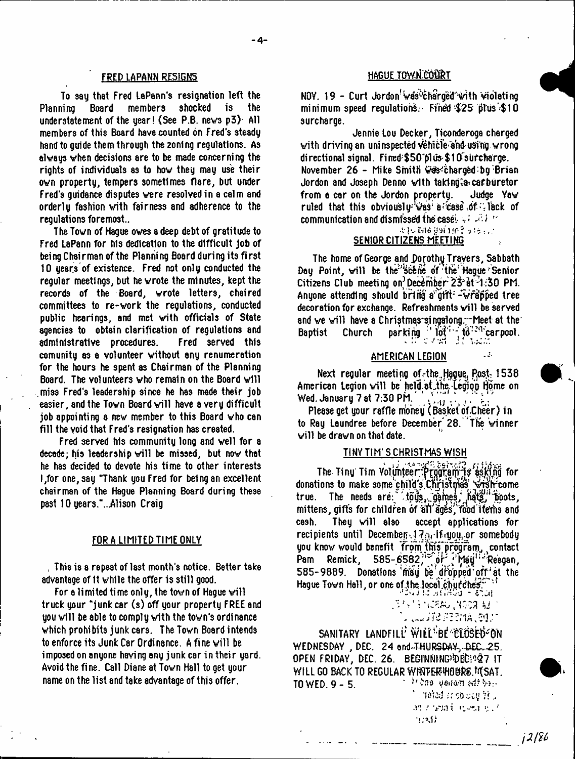#### FRED LAPANN RE515N5

To say that Fred LaPann's resignation left the Planning Board members shocked is the understatement of the year! (See P.B. news  $p3$ ). All members of this Board have counted on Fred's steady hand to guide them through the zoning regulations. As always when decisions are to be made concerning the rights of individuals as to how they may use their own property, tempers sometimes flare, but under Fred's guidance disputes were resolved in a calm and orderly fashion with fairness and adherence to the regulations foremost..

The Town of Hague owes a deep debt of gratitude to Fred LaPann for his dedication to the difficult Job of being Chairman of the Planning Board during its first 10 years of existence. Fred not only conducted the regular meetings, but he wrote the minutes, kept the records of the Board, wrote letters, chaired committees to re-work the regulations, conducted public hearings, and met with officials of State agencies to obtain clarification of regulations and administrative procedures. Fred served this comunity as a volunteer without any renumeration for the hours he spent as Chairman of the Planning Board. The volunteers who remain on the Board will miss Fred's leadership since he has made their job easier, and the Town Board will have a very difficult job appointing a new member to this Board who can fill the void that Fred's resignation has created.

Fred served his community long and well for a decade; his leadership will be missed, but now that he has decided to devote his time to other interests I,for one, say "Thank you Fred for being an excellent chairman of the Hague Planning Board during these past 10 years."...Alison Craig

#### FORA LIMITED TIME ONLY

t This is a repeat of last month's notice. Better take advantage of it while the offer is still good.

For a limited time only, the town of Hague will truck your "junk car (s) off your property FREE and you will be able to comply with the town's ordinance which prohibits junk cars. The Town Board intends to enforce its Junk Car Ordinance. A fine will be imposed on anyone having any junk car in their yard. Avoid the fine. Call Diane at Town Hall to get your name on the list and take advantage of this offer.

#### HAGUE TOWN COURT

NOY. 19 - Curt Jordon<sup>'</sup> was<sup>b</sup>charged with wiolating minimum speed requlations. Fined  $$25$  plus  $$10$ surcharge.

Jennie Lou Decker, Ticonderoga charged with driving an uninspected vehicle and using wrong directional signal. Fined; \$50'plus: \$10'surcharge. November 26 - Mike Smith Was charged by Brian Jordon and Joseph Denno with taking;a carburetor from a car on the Jordon property. Judge Yaw ruled that this obviously was a case of  $\vdots$  lack of communication and dismissed the casel  $\mathbb{R}^4 \times \mathbb{R}^4$  in

> ■v K- *h)6* yyi'liP? •: SENIOR CITIZENS MEETING

The home of George and Porothy Travers, Sabbath Day Point, will be the scene of the Hague Senior Citizens Club meeting on? December 23<sup>-</sup>dt-1:30 PM. Anyone attending should bring a gift:  $\div$ wrapped tree decoration for exchange. Refreshments will be served and we will have a Christmas singalong." Meet at the Baptist Church parking  $\frac{1}{2}$   $\frac{1}{2}$  to  $\frac{1}{2}$  to  $\frac{1}{2}$  to  $\frac{1}{2}$ 

#### AMERICAN LEGION

 $\sim$   $\frac{3}{2}$ .

Next regular meeting of. the.Haguq^ *Pp\:* 1538 American Legion will be held atihe -Iegipi Home on Wed. January 7at 7:30 PH/ \*

Please get your raffle money (Basket df Cheer) In to Ray Laundree before December<sup>28</sup>. The winner will be drawn on that date.

#### TINY TIM'S CHRISTMAS WISH

The Tiny Tim Volunteer: Program is asking for donations to make some child's Christmas wish come true. The needs are: .tous, games, hats, hous, mittens, gifts for children of all ages' food items and cash. They will also accept applications for recipients until December.  $17<sub>31</sub>$  if  $q_{10}$ , or somebody you know would benefit from this program, contact Pam Remick, 585-6582,<sup>35</sup> of <sup>7</sup> Mau<sup>it</sup> Reegan, 585-9889. Donations may be dropped of at the ا "Hague Town Hall, or one of the local churchest"<br>التل عدد الاستفرار الملك

 $\begin{array}{l} \begin{array}{l} \mathbb{C}^2 \times \mathbb{C}^2 \times \mathbb{C}^2 \times \mathbb{C}^2 \times \mathbb{C}^2 \times \mathbb{C}^2 \times \mathbb{C}^2 \times \mathbb{C}^2 \times \mathbb{C}^2 \times \mathbb{C}^2 \times \mathbb{C}^2 \times \mathbb{C}^2 \times \mathbb{C}^2 \times \mathbb{C}^2 \times \mathbb{C}^2 \times \mathbb{C}^2 \times \mathbb{C}^2 \times \mathbb{C}^2 \times \mathbb{C}^2 \times \mathbb{C}^2 \times \mathbb{C}$ *. . s J I iP . Z t e . W*

SANITARY LANDFILL' WILL<sup>1:</sup>BE CLOSED ON WEDNESDAY, DEC. 24 end-THURSDAY, DEC. 25. OPEN FRIDAY, DEC. 26. BEGINNING)DEC1027 IT WILL GO BACK TO REGULAR WINTER HOURS.MSAT. **TO WED. 9 - 5.**  $\frac{1}{2}$  Let  $\frac{1}{2}$  Let  $\frac{1}{2}$  be  $\frac{1}{2}$  when  $\frac{1}{2}$  be  $\frac{1}{2}$ .

 $^{\circ}$  -lifered as the case  $\Omega$  . •V! *f* VJ.1t . \* '!; ',1;

 $12/86$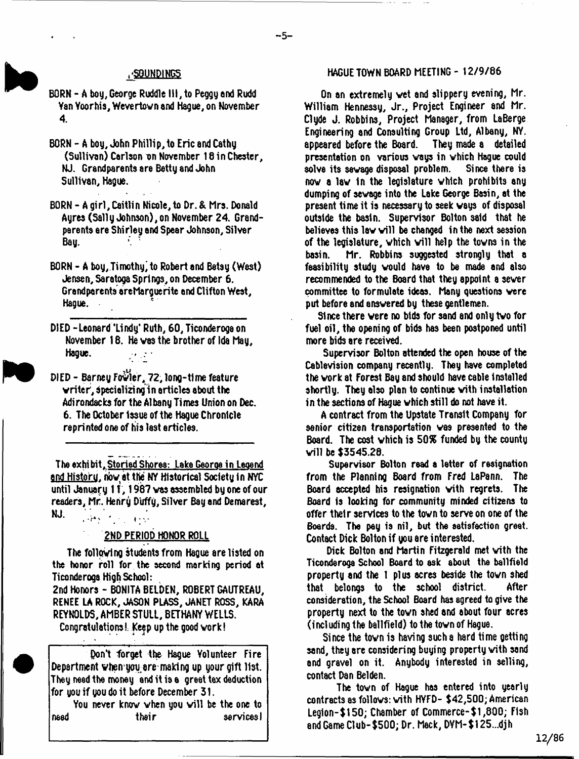- BORN A boy, George Ruddle HI, to Peggy end Rudd Yan Yoorhis, Wevertovn and Hague, on November 4.
- BORN A boy, John Phillip, to Eric and Cathy (Sullivan) Carlson on November 18 in Chester, NJ. Grandparents are Betty and John Sullivan, Hague.
- BORN Agirl,Caitlin Nicole, to Dr. & Mrs. Donald Ayres (Sally Johnson),on November 24. Grandparents ere Shirley end Spear Johnson, Silver Bau.
- BORN A boy, Timothy'to Robert and Betsy (West) Jensen, Saratoga Springs, on December 6. Grandparents ereMargue rite and Clifton West, Hague.
- DIED Leonard 'Lindy\* Ruth, 60, Ticonderoga on November 18. He vas the brother of Ida May, Hague.  $\mathcal{O}(\log n)$
- DIED Barney Fowler, 72, long-time feature vriter, dpecializingin articles about the Adirondacks for the Albany Times Union on Dec. 6. The October Issue of the Hague Chronicle reprinted one of his last articles.

The exhibit. Storied Shores: Lake Georoa in Legend and History, now at the NY Historical Society in NYC until January 11, 1987 was assembled by one of our readers, Mr. Henry Duffy, Silver Bay and Demarest, NJ. خوان بارگ وقای

#### 2ND PERIOD HONOR ROLL

The folloving students from Hague are listed on the honor roll for the second marking period at Ticonderoga High School:

2nd Honors - BONITA BELDEN, ROBERT GAUTREAU, RENEE LA ROCK, JASON PLASS, JANET ROSS, KARA REYNOLDS, AMBER STULL, BETHANY WELLS.

Congratulations!: Keep up the good vork!

Pont forget the Hague Volunteer Fire Department vhen you are making up your gift list. They need the money and it is a greet tax deduction for you if you do it before December 31.

You never know when you will be the one to need their services I

## .'SOUNDINGS HAGUE TOWN BOARD MEETING - 12/9/86

On an extremely vet and slippery evening, Mr. William Hennessy, Jr., Project Engineer and Mr. Clyde J. Robbins, Project Manager, from LaBerge Engineering and Consulting Group Ltd, Albany, NY. appeared before the Board. presentation on various ways in which Hague could<br>solve its sewage disposal problem. Since there is solve its sewage disposal problem. nov a lav In the legislature vhich prohibits any dumping of savage into the Lake George Basin, at the present time it is necessary to seek vays of disposal outside the basin. Supervisor Bolton said that he believes this law will be changed in the next session of the legislature, which will help the towns in the basin. Mr. Robbins suggested strongly that a feasibility study vould have to be made and also recommended to the Board that they appoint a sever committee to formulate ideas. Many questions vere put before and ansvered by these gentlemen.

Since there vere no bids for sand and only tvo for fuel oil, the opening of bids has been postponed until more bids are received.

Supervisor Bolton attended the open house of the Cablevision company recently. They have completed the vork at Forest Bay and should have cable installed shortly. They also plan to continue vith installation in the sections of Hague vhich still do not have it.

A contract from the Upstate Transit Company for senior citizen transportation vas presented to the Board. The cost vhich is 50% funded by the county vill be \$3545.28.

Supervisor Bolton read a letter of resignation from the Planning Board from Fred LsPann. The Board accepted his resignation vith regrets. The Board is looking for community minded citizens to offer their services to the tovn to serve on one of the Boards. The pey is nil, but the satisfaction great. Contact Dick Bolton if you are interested.

Dick Bolton and Martin Fitzgerald met vith the Ticonderoga School Board to ask about the ballfield property and the 1 plus acres beside the tovn shed that belongs to the school district. After consideration, the School Board has agreed to give the property next to the tovn shed and about four acres (including the ballfield) to the tovn of Hague.

Since the tovn is having such a hard time getting sand, they are considering buying property vith sand and gravel on it. Anybody interested in selling, contact Dan Belden.

The tovn of Hague has entered into yearly contracts as follows: with HYFD- \$42,500; American Legion-\$150; Chamber of Commerce-\$1,800; Fish and Game Club-\$500; Dr. Mack, DVM-\$125...djh